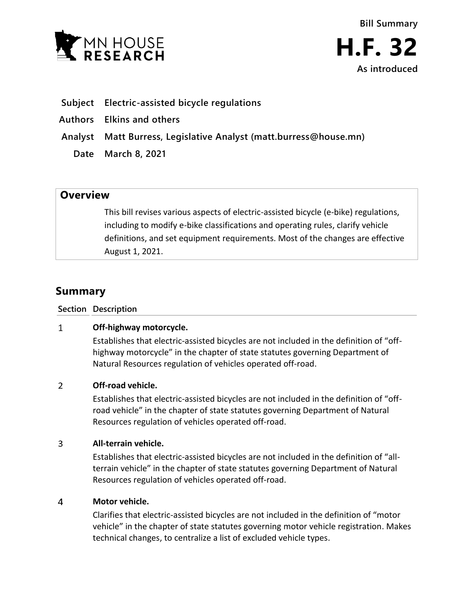



- **Subject Electric-assisted bicycle regulations**
- **Authors Elkins and others**
- **Analyst Matt Burress, Legislative Analyst (matt.burress@house.mn)**
	- **Date March 8, 2021**

## **Overview**

This bill revises various aspects of electric-assisted bicycle (e-bike) regulations, including to modify e-bike classifications and operating rules, clarify vehicle definitions, and set equipment requirements. Most of the changes are effective August 1, 2021.

# **Summary**

**Section Description**

#### $\mathbf{1}$ **Off-highway motorcycle.**

Establishes that electric-assisted bicycles are not included in the definition of "offhighway motorcycle" in the chapter of state statutes governing Department of Natural Resources regulation of vehicles operated off-road.

#### $\overline{2}$ **Off-road vehicle.**

Establishes that electric-assisted bicycles are not included in the definition of "offroad vehicle" in the chapter of state statutes governing Department of Natural Resources regulation of vehicles operated off-road.

#### $\overline{3}$ **All-terrain vehicle.**

Establishes that electric-assisted bicycles are not included in the definition of "allterrain vehicle" in the chapter of state statutes governing Department of Natural Resources regulation of vehicles operated off-road.

#### 4 **Motor vehicle.**

Clarifies that electric-assisted bicycles are not included in the definition of "motor vehicle" in the chapter of state statutes governing motor vehicle registration. Makes technical changes, to centralize a list of excluded vehicle types.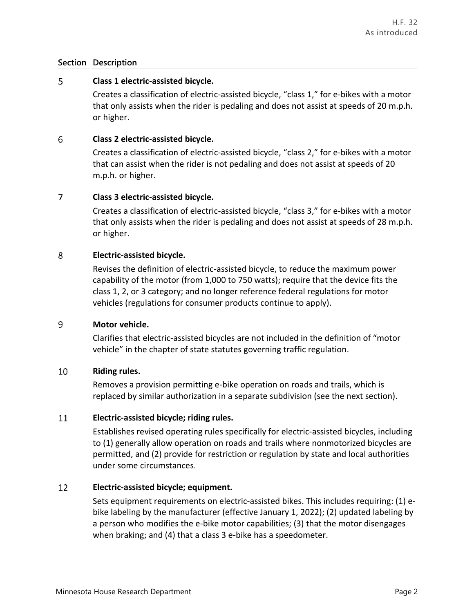### **Section Description**

#### 5 **Class 1 electric-assisted bicycle.**

Creates a classification of electric-assisted bicycle, "class 1," for e-bikes with a motor that only assists when the rider is pedaling and does not assist at speeds of 20 m.p.h. or higher.

#### 6 **Class 2 electric-assisted bicycle.**

Creates a classification of electric-assisted bicycle, "class 2," for e-bikes with a motor that can assist when the rider is not pedaling and does not assist at speeds of 20 m.p.h. or higher.

#### $\overline{7}$ **Class 3 electric-assisted bicycle.**

Creates a classification of electric-assisted bicycle, "class 3," for e-bikes with a motor that only assists when the rider is pedaling and does not assist at speeds of 28 m.p.h. or higher.

#### 8 **Electric-assisted bicycle.**

Revises the definition of electric-assisted bicycle, to reduce the maximum power capability of the motor (from 1,000 to 750 watts); require that the device fits the class 1, 2, or 3 category; and no longer reference federal regulations for motor vehicles (regulations for consumer products continue to apply).

#### 9 **Motor vehicle.**

Clarifies that electric-assisted bicycles are not included in the definition of "motor vehicle" in the chapter of state statutes governing traffic regulation.

#### 10 **Riding rules.**

Removes a provision permitting e-bike operation on roads and trails, which is replaced by similar authorization in a separate subdivision (see the next section).

#### 11 **Electric-assisted bicycle; riding rules.**

Establishes revised operating rules specifically for electric-assisted bicycles, including to (1) generally allow operation on roads and trails where nonmotorized bicycles are permitted, and (2) provide for restriction or regulation by state and local authorities under some circumstances.

#### 12 **Electric-assisted bicycle; equipment.**

Sets equipment requirements on electric-assisted bikes. This includes requiring: (1) ebike labeling by the manufacturer (effective January 1, 2022); (2) updated labeling by a person who modifies the e-bike motor capabilities; (3) that the motor disengages when braking; and (4) that a class 3 e-bike has a speedometer.